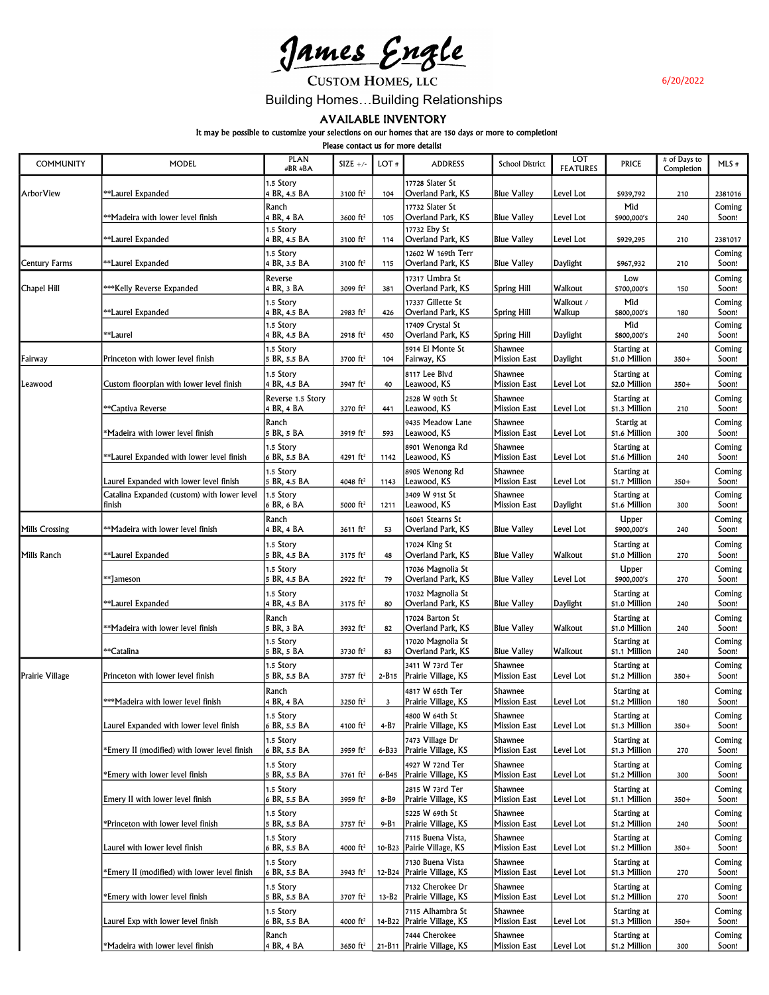<u>James Engle</u>

**CUSTOM HOMES, LLC** 

6/20/2022

## Building Homes…Building Relationships

AVAILABLE INVENTORY

It may be possible to customize your selections on our homes that are 150 days or more to completion!

Please contact us for more details!

| <b>COMMUNITY</b>      | MODEL                                                                | <b>PLAN</b><br>#BR #BA          | SIZE $+/-$             | LOT#      | <b>ADDRESS</b>                                   | <b>School District</b>         | LOT<br><b>FEATURES</b> | <b>PRICE</b>                 | # of Days to<br>Completion | $MLS$ #         |
|-----------------------|----------------------------------------------------------------------|---------------------------------|------------------------|-----------|--------------------------------------------------|--------------------------------|------------------------|------------------------------|----------------------------|-----------------|
| ArborView             | **Laurel Expanded                                                    | 1.5 Story<br>4 BR, 4.5 BA       | 3100 ft <sup>2</sup>   | 104       | 17728 Slater St<br>Overland Park, KS             | <b>Blue Valley</b>             | Level Lot              | \$939,792                    | 210                        | 2381016         |
|                       | **Madeira with lower level finish                                    | Ranch<br>4 BR, 4 BA             | 3600 ft <sup>2</sup>   | 105       | 17732 Slater St<br>Overland Park, KS             | <b>Blue Valley</b>             | Level Lot              | Mid<br>\$900,000's           | 240                        | Coming<br>Soon! |
|                       | **Laurel Expanded                                                    | 1.5 Story<br>4 BR, 4.5 BA       | 3100 $ft^2$            | 114       | 17732 Eby St<br>Overland Park, KS                | <b>Blue Valley</b>             | Level Lot              | \$929,295                    | 210                        | 2381017         |
| <b>Century Farms</b>  | **Laurel Expanded                                                    | 1.5 Story<br>4 BR, 3.5 BA       | 3100 ft <sup>2</sup>   | 115       | 12602 W 169th Terr<br>Overland Park, KS          | <b>Blue Valley</b>             | Daylight               | \$967,932                    | 210                        | Coming<br>Soon! |
| Chapel Hill           | ***Kelly Reverse Expanded                                            | Reverse<br>4 BR, 3 BA           | 3099 ft <sup>2</sup>   | 381       | 17317 Umbra St<br>Overland Park, KS              | <b>Spring Hill</b>             | Walkout                | Low<br>\$700,000's           | 150                        | Coming<br>Soon! |
|                       | **Laurel Expanded                                                    | 1.5 Story<br>4 BR, 4.5 BA       | 2983 ft <sup>2</sup>   | 426       | 17337 Gillette St<br>Overland Park, KS           | <b>Spring Hill</b>             | Walkout /<br>Walkup    | Mid<br>\$800,000's           | 180                        | Coming<br>Soon! |
|                       | **Laurel                                                             | 1.5 Story<br>4 BR, 4.5 BA       | 2918 ft <sup>2</sup>   | 450       | 17409 Crystal St<br>Overland Park, KS            | <b>Spring Hill</b>             | Daylight               | Mid<br>\$800,000's           | 240                        | Coming<br>Soon! |
| Fairway               | Princeton with lower level finish                                    | 1.5 Story<br>5 BR, 5.5 BA       | 3700 ft <sup>2</sup>   | 104       | 5914 El Monte St<br> Fairway, KS                 | Shawnee<br><b>Mission East</b> | Daylight               | Starting at<br>\$1.0 Million | $350+$                     | Coming<br>Soon! |
| Leawood               | Custom floorplan with lower level finish                             | 1.5 Story<br>4 BR, 4.5 BA       | 3947 ft <sup>2</sup>   | 40        | 8117 Lee Blvd<br>Leawood, KS                     | Shawnee<br><b>Mission East</b> | Level Lot              | Starting at<br>\$2.0 Million | $350+$                     | Coming<br>Soon! |
|                       | **Captiva Reverse                                                    | Reverse 1.5 Story<br>4 BR, 4 BA | 3270 ft <sup>2</sup>   | 441       | 2528 W 90th St<br>Leawood, KS                    | Shawnee<br><b>Mission East</b> | Level Lot              | Starting at<br>\$1.3 Million | 210                        | Coming<br>Soon! |
|                       | *Madeira with lower level finish                                     | Ranch<br>5 BR, 5 BA             | $3919$ ft <sup>2</sup> | 593       | 9435 Meadow Lane<br>Leawood, KS                  | Shawnee<br><b>Mission East</b> | Level Lot              | Startig at<br>\$1.6 Million  | 300                        | Coming<br>Soon! |
|                       | **Laurel Expanded with lower level finish                            | 1.5 Story<br>6 BR, 5.5 BA       | 4291 $ft^2$            | 1142      | 8901 Wenonga Rd<br>Leawood, KS                   | Shawnee<br><b>Mission East</b> | Level Lot              | Starting at<br>\$1.6 Million | 240                        | Coming<br>Soon! |
|                       | Laurel Expanded with lower level finish                              | 1.5 Story<br>5 BR, 4.5 BA       | 4048 ft <sup>2</sup>   | 1143      | 8905 Wenong Rd<br>Leawood, KS                    | Shawnee<br><b>Mission East</b> | Level Lot              | Starting at<br>\$1.7 Million | $350+$                     | Coming<br>Soon! |
|                       | Catalina Expanded (custom) with lower level<br>finish                | 1.5 Story<br>6 BR, 6 BA         | 5000 ft <sup>2</sup>   | 1211      | 3409 W 91st St<br>Leawood, KS                    | Shawnee<br><b>Mission East</b> | Daylight               | Starting at<br>\$1.6 Million | 300                        | Coming<br>Soon! |
| <b>Mills Crossing</b> | **Madeira with lower level finish                                    | Ranch<br>4 BR, 4 BA             | 3611 ft <sup>2</sup>   | 53        | 16061 Stearns St<br>Overland Park, KS            | <b>Blue Valley</b>             | Level Lot              | Upper<br>\$900,000's         | 240                        | Coming<br>Soon! |
| Mills Ranch           | <b>Expanded</b> Expanded                                             | 1.5 Story<br>5 BR, 4.5 BA       | $3175$ ft <sup>2</sup> | 48        | 17024 King St<br>Overland Park, KS               | <b>Blue Valley</b>             | Walkout                | Starting at<br>\$1.0 Million | 270                        | Coming<br>Soon! |
|                       | **Jameson                                                            | 1.5 Story<br>5 BR, 4.5 BA       | 2922 ft <sup>2</sup>   | 79        | 17036 Magnolia St<br>Overland Park, KS           | <b>Blue Valley</b>             | Level Lot              | Upper<br>\$900,000's         | 270                        | Coming<br>Soon! |
|                       | <b>Expanded</b> Expanded                                             | 1.5 Story<br>4 BR, 4.5 BA       | $3175$ ft <sup>2</sup> | 80        | 17032 Magnolia St<br>Overland Park, KS           | <b>Blue Valley</b>             | Daylight               | Starting at<br>\$1.0 Million | 240                        | Coming<br>Soon! |
|                       | **Madeira with lower level finish                                    | Ranch<br>5 BR, 3 BA             | 3932 ft <sup>2</sup>   | 82        | 17024 Barton St<br>Overland Park, KS             | <b>Blue Valley</b>             | Walkout                | Starting at<br>\$1.0 Million | 240                        | Coming<br>Soon! |
|                       | **Catalina                                                           | 1.5 Story<br>5 BR, 5 BA         | 3730 ft <sup>2</sup>   | 83        | 17020 Magnolia St<br>Overland Park, KS           | <b>Blue Valley</b>             | Walkout                | Starting at<br>\$1.1 Million | 240                        | Coming<br>Soon! |
| Prairie Village       | Princeton with lower level finish                                    | 1.5 Story<br>5 BR, 5.5 BA       | 3757 $ft^2$            | $2 - B15$ | 3411 W 73rd Ter<br>Prairie Village, KS           | Shawnee<br><b>Mission East</b> | Level Lot              | Starting at<br>\$1.2 Million | $350+$                     | Coming<br>Soon! |
|                       | ***Madeira with lower level finish                                   | Ranch<br>4 BR, 4 BA             | 3250 ft <sup>2</sup>   | 3         | 4817 W 65th Ter<br>Prairie Village, KS           | Shawnee<br><b>Mission East</b> | Level Lot              | Starting at<br>\$1.2 Million | 180                        | Coming<br>Soon! |
|                       | Laurel Expanded with lower level finish                              | 1.5 Story<br>6 BR, 5.5 BA       | 4100 ft <sup>2</sup>   | 4-B7      | 4800 W 64th St<br>Prairie Village, KS            | Shawnee<br><b>Mission East</b> | Level Lot              | Starting at<br>\$1.3 Million | $350+$                     | Coming<br>Soon! |
|                       | *Emery II (modified) with lower level finish                         | 1.5 Story<br>6 BR, 5.5 BA       | 3959 $ft^2$            | 6-B33     | 7473 Village Dr<br>Prairie Village, KS           | Shawnee<br><b>Mission East</b> | Level Lot              | Starting at<br>\$1.3 Million | 270                        | Coming<br>Soon! |
|                       | <b>Emery with lower level finish</b>                                 | 1.5 Story<br>5 BR, 5.5 BA       | $3761 \text{ ft}^2$    |           | 4927 W 72nd Ter<br>6-B45 Prairie Village, KS     | Shawnee<br><b>Mission East</b> | Level Lot              | Starting at<br>\$1.2 Million | 300                        | Coming<br>Soon! |
|                       | Emery II with lower level finish                                     | 1.5 Story<br>6 BR, 5.5 BA       | 3959 ft <sup>2</sup>   | 8-B9      | 2815 W 73rd Ter<br>Prairie Village, KS           | Shawnee<br>Mission East        | Level Lot              | Starting at<br>\$1.1 Million | $350+$                     | Coming<br>Soon! |
|                       | *Princeton with lower level finish                                   | 1.5 Story<br>5 BR, 5.5 BA       | 3757 ft <sup>2</sup>   | 9-B1      | 5225 W 69th St<br>Prairie Village, KS            | Shawnee<br><b>Mission East</b> | Level Lot              | Starting at<br>\$1.2 Million | 240                        | Coming<br>Soon! |
|                       | Laurel with lower level finish                                       | 1.5 Story<br>6 BR, 5.5 BA       | 4000 $ft^2$            |           | 7115 Buena Vista,<br>10-B23   Pairie Village, KS | Shawnee<br><b>Mission East</b> | Level Lot              | Starting at<br>\$1.2 Million | $350+$                     | Coming<br>Soon! |
|                       | *Emery II (modified) with lower level finish                         | 1.5 Story<br>6 BR, 5.5 BA       | 3943 $ft2$             |           | 7130 Buena Vista<br>12-B24   Prairie Village, KS | Shawnee<br>Mission East        | Level Lot              | Starting at<br>\$1.3 Million | 270                        | Coming<br>Soon! |
|                       |                                                                      | 1.5 Story                       |                        |           | 7132 Cherokee Dr                                 | Shawnee                        |                        | Starting at                  |                            | Coming          |
|                       | *Emery with lower level finish<br>Laurel Exp with lower level finish | 5 BR, 5.5 BA<br>1.5 Story       | 3707 ft <sup>2</sup>   |           | 13-B2   Prairie Village, KS<br>7115 Alhambra St  | Mission East<br>Shawnee        | Level Lot              | \$1.2 Million<br>Starting at | 270                        | Soon!<br>Coming |
|                       |                                                                      | 6 BR, 5.5 BA<br>Ranch           | 4000 ft <sup>2</sup>   |           | 14-B22 Prairie Village, KS<br>7444 Cherokee      | <b>Mission East</b><br>Shawnee | Level Lot              | \$1.3 Million<br>Starting at | $350+$                     | Soon!<br>Coming |
|                       | *Madeira with lower level finish                                     | 4 BR, 4 BA                      | 3650 $ft^2$            |           | 21-B11 Prairie Village, KS                       | <b>Mission East</b>            | Level Lot              | \$1.2 Million                | 300                        | Soon!           |